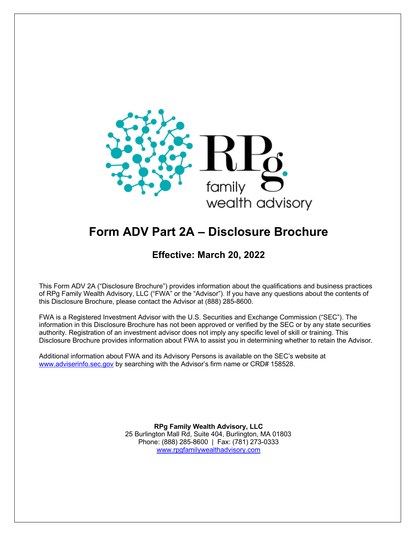

# **Form ADV Part 2A – Disclosure Brochure**

# **Effective: March 20, 2022**

This Form ADV 2A ("Disclosure Brochure") provides information about the qualifications and business practices of RPg Family Wealth Advisory, LLC ("FWA" or the "Advisor"). If you have any questions about the contents of this Disclosure Brochure, please contact the Advisor at (888) 285-8600.

FWA is a Registered Investment Advisor with the U.S. Securities and Exchange Commission ("SEC"). The information in this Disclosure Brochure has not been approved or verified by the SEC or by any state securities authority. Registration of an investment advisor does not imply any specific level of skill or training. This Disclosure Brochure provides information about FWA to assist you in determining whether to retain the Advisor.

Additional information about FWA and its Advisory Persons is available on the SEC's website at www.adviserinfo.sec.gov by searching with the Advisor's firm name or CRD# 158528.

> **RPg Family Wealth Advisory, LLC** 25 Burlington Mall Rd, Suite 404, Burlington, MA 01803 Phone: (888) 285-8600 | Fax: (781) 273-0333 www.rpgfamilywealthadvisory.com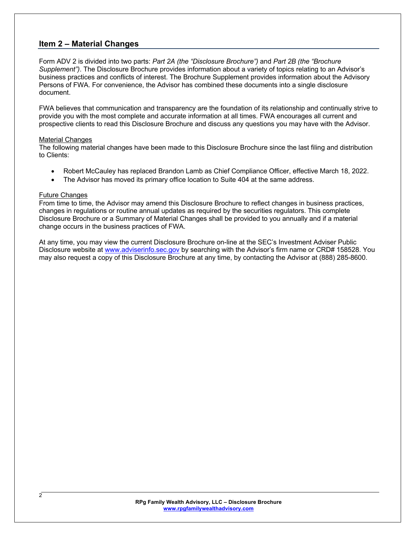### **Item 2 – Material Changes**

Form ADV 2 is divided into two parts: *Part 2A (the "Disclosure Brochure")* and *Part 2B (the "Brochure Supplement")*. The Disclosure Brochure provides information about a variety of topics relating to an Advisor's business practices and conflicts of interest. The Brochure Supplement provides information about the Advisory Persons of FWA. For convenience, the Advisor has combined these documents into a single disclosure document.

FWA believes that communication and transparency are the foundation of its relationship and continually strive to provide you with the most complete and accurate information at all times. FWA encourages all current and prospective clients to read this Disclosure Brochure and discuss any questions you may have with the Advisor.

#### Material Changes

The following material changes have been made to this Disclosure Brochure since the last filing and distribution to Clients:

- Robert McCauley has replaced Brandon Lamb as Chief Compliance Officer, effective March 18, 2022.
- The Advisor has moved its primary office location to Suite 404 at the same address.

#### Future Changes

From time to time, the Advisor may amend this Disclosure Brochure to reflect changes in business practices, changes in regulations or routine annual updates as required by the securities regulators. This complete Disclosure Brochure or a Summary of Material Changes shall be provided to you annually and if a material change occurs in the business practices of FWA.

At any time, you may view the current Disclosure Brochure on-line at the SEC's Investment Adviser Public Disclosure website at www.adviserinfo.sec.gov by searching with the Advisor's firm name or CRD# 158528. You may also request a copy of this Disclosure Brochure at any time, by contacting the Advisor at (888) 285-8600.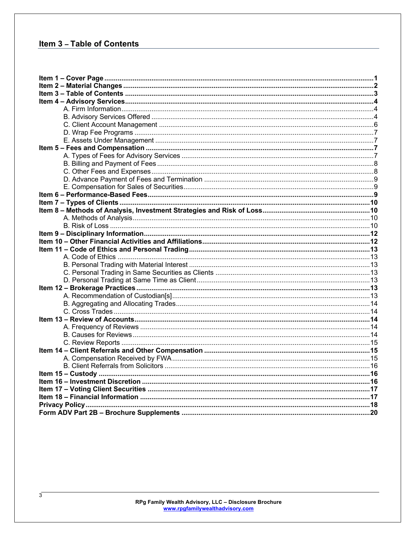# **Item 3 - Table of Contents**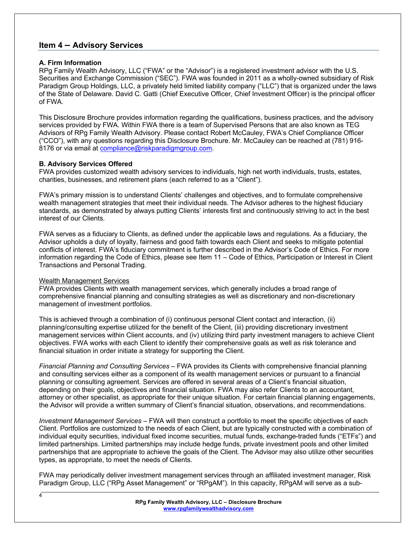### **Item 4 – Advisory Services**

#### **A. Firm Information**

RPg Family Wealth Advisory, LLC ("FWA" or the "Advisor") is a registered investment advisor with the U.S. Securities and Exchange Commission ("SEC"). FWA was founded in 2011 as a wholly-owned subsidiary of Risk Paradigm Group Holdings, LLC, a privately held limited liability company ("LLC") that is organized under the laws of the State of Delaware. David C. Gatti (Chief Executive Officer, Chief Investment Officer) is the principal officer of FWA.

This Disclosure Brochure provides information regarding the qualifications, business practices, and the advisory services provided by FWA. Within FWA there is a team of Supervised Persons that are also known as TEG Advisors of RPg Family Wealth Advisory. Please contact Robert McCauley, FWA's Chief Compliance Officer ("CCO"), with any questions regarding this Disclosure Brochure. Mr. McCauley can be reached at (781) 916- 8176 or via email at compliance@riskparadigmgroup.com.

#### **B. Advisory Services Offered**

FWA provides customized wealth advisory services to individuals, high net worth individuals, trusts, estates, charities, businesses, and retirement plans (each referred to as a "Client").

FWA's primary mission is to understand Clients' challenges and objectives, and to formulate comprehensive wealth management strategies that meet their individual needs. The Advisor adheres to the highest fiduciary standards, as demonstrated by always putting Clients' interests first and continuously striving to act in the best interest of our Clients.

FWA serves as a fiduciary to Clients, as defined under the applicable laws and regulations. As a fiduciary, the Advisor upholds a duty of loyalty, fairness and good faith towards each Client and seeks to mitigate potential conflicts of interest. FWA's fiduciary commitment is further described in the Advisor's Code of Ethics. For more information regarding the Code of Ethics, please see Item 11 – Code of Ethics, Participation or Interest in Client Transactions and Personal Trading.

#### Wealth Management Services

4

FWA provides Clients with wealth management services, which generally includes a broad range of comprehensive financial planning and consulting strategies as well as discretionary and non-discretionary management of investment portfolios.

This is achieved through a combination of (i) continuous personal Client contact and interaction, (ii) planning/consulting expertise utilized for the benefit of the Client, (iii) providing discretionary investment management services within Client accounts, and (iv) utilizing third party investment managers to achieve Client objectives. FWA works with each Client to identify their comprehensive goals as well as risk tolerance and financial situation in order initiate a strategy for supporting the Client.

*Financial Planning and Consulting Services* – FWA provides its Clients with comprehensive financial planning and consulting services either as a component of its wealth management services or pursuant to a financial planning or consulting agreement. Services are offered in several areas of a Client's financial situation, depending on their goals, objectives and financial situation. FWA may also refer Clients to an accountant, attorney or other specialist, as appropriate for their unique situation. For certain financial planning engagements, the Advisor will provide a written summary of Client's financial situation, observations, and recommendations.

*Investment Management Services* – FWA will then construct a portfolio to meet the specific objectives of each Client. Portfolios are customized to the needs of each Client, but are typically constructed with a combination of individual equity securities, individual fixed income securities, mutual funds, exchange-traded funds ("ETFs") and limited partnerships. Limited partnerships may include hedge funds, private investment pools and other limited partnerships that are appropriate to achieve the goals of the Client. The Advisor may also utilize other securities types, as appropriate, to meet the needs of Clients.

FWA may periodically deliver investment management services through an affiliated investment manager, Risk Paradigm Group, LLC ("RPg Asset Management" or "RPgAM"). In this capacity, RPgAM will serve as a sub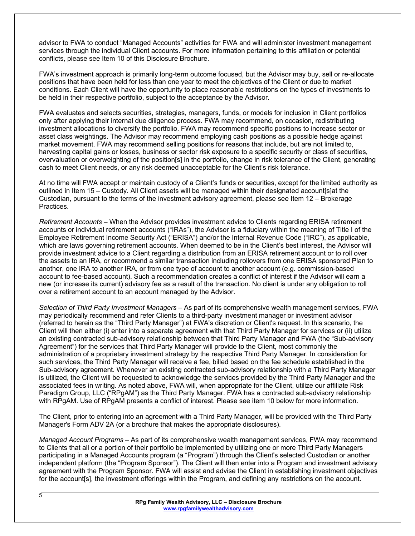advisor to FWA to conduct "Managed Accounts" activities for FWA and will administer investment management services through the individual Client accounts. For more information pertaining to this affiliation or potential conflicts, please see Item 10 of this Disclosure Brochure.

FWA's investment approach is primarily long-term outcome focused, but the Advisor may buy, sell or re-allocate positions that have been held for less than one year to meet the objectives of the Client or due to market conditions. Each Client will have the opportunity to place reasonable restrictions on the types of investments to be held in their respective portfolio, subject to the acceptance by the Advisor.

FWA evaluates and selects securities, strategies, managers, funds, or models for inclusion in Client portfolios only after applying their internal due diligence process. FWA may recommend, on occasion, redistributing investment allocations to diversify the portfolio. FWA may recommend specific positions to increase sector or asset class weightings. The Advisor may recommend employing cash positions as a possible hedge against market movement. FWA may recommend selling positions for reasons that include, but are not limited to, harvesting capital gains or losses, business or sector risk exposure to a specific security or class of securities, overvaluation or overweighting of the position[s] in the portfolio, change in risk tolerance of the Client, generating cash to meet Client needs, or any risk deemed unacceptable for the Client's risk tolerance.

At no time will FWA accept or maintain custody of a Client's funds or securities, except for the limited authority as outlined in Item 15 – Custody. All Client assets will be managed within their designated account[s]at the Custodian, pursuant to the terms of the investment advisory agreement, please see Item 12 – Brokerage Practices.

*Retirement Accounts* – When the Advisor provides investment advice to Clients regarding ERISA retirement accounts or individual retirement accounts ("IRAs"), the Advisor is a fiduciary within the meaning of Title I of the Employee Retirement Income Security Act ("ERISA") and/or the Internal Revenue Code ("IRC"), as applicable, which are laws governing retirement accounts. When deemed to be in the Client's best interest, the Advisor will provide investment advice to a Client regarding a distribution from an ERISA retirement account or to roll over the assets to an IRA, or recommend a similar transaction including rollovers from one ERISA sponsored Plan to another, one IRA to another IRA, or from one type of account to another account (e.g. commission-based account to fee-based account). Such a recommendation creates a conflict of interest if the Advisor will earn a new (or increase its current) advisory fee as a result of the transaction. No client is under any obligation to roll over a retirement account to an account managed by the Advisor.

*Selection of Third Party Investment Managers* – As part of its comprehensive wealth management services, FWA may periodically recommend and refer Clients to a third-party investment manager or investment advisor (referred to herein as the "Third Party Manager") at FWA's discretion or Client's request. In this scenario, the Client will then either (i) enter into a separate agreement with that Third Party Manager for services or (ii) utilize an existing contracted sub-advisory relationship between that Third Party Manager and FWA (the "Sub-advisory Agreement") for the services that Third Party Manager will provide to the Client, most commonly the administration of a proprietary investment strategy by the respective Third Party Manager. In consideration for such services, the Third Party Manager will receive a fee, billed based on the fee schedule established in the Sub-advisory agreement. Whenever an existing contracted sub-advisory relationship with a Third Party Manager is utilized, the Client will be requested to acknowledge the services provided by the Third Party Manager and the associated fees in writing. As noted above, FWA will, when appropriate for the Client, utilize our affiliate Risk Paradigm Group, LLC ("RPgAM") as the Third Party Manager. FWA has a contracted sub-advisory relationship with RPgAM. Use of RPgAM presents a conflict of interest. Please see item 10 below for more information.

The Client, prior to entering into an agreement with a Third Party Manager, will be provided with the Third Party Manager's Form ADV 2A (or a brochure that makes the appropriate disclosures).

*Managed Account Programs* – As part of its comprehensive wealth management services, FWA may recommend to Clients that all or a portion of their portfolio be implemented by utilizing one or more Third Party Managers participating in a Managed Accounts program (a "Program") through the Client's selected Custodian or another independent platform (the "Program Sponsor"). The Client will then enter into a Program and investment advisory agreement with the Program Sponsor. FWA will assist and advise the Client in establishing investment objectives for the account[s], the investment offerings within the Program, and defining any restrictions on the account.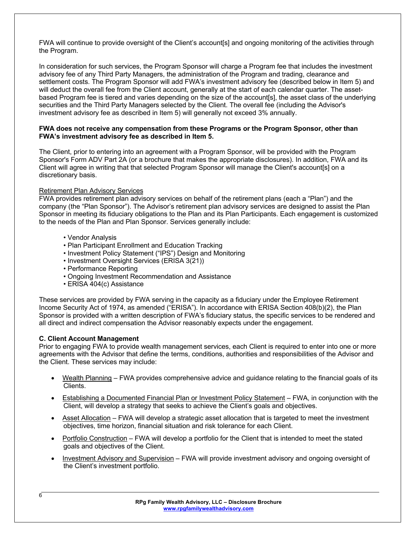FWA will continue to provide oversight of the Client's account[s] and ongoing monitoring of the activities through the Program.

In consideration for such services, the Program Sponsor will charge a Program fee that includes the investment advisory fee of any Third Party Managers, the administration of the Program and trading, clearance and settlement costs. The Program Sponsor will add FWA's investment advisory fee (described below in Item 5) and will deduct the overall fee from the Client account, generally at the start of each calendar quarter. The assetbased Program fee is tiered and varies depending on the size of the account[s], the asset class of the underlying securities and the Third Party Managers selected by the Client. The overall fee (including the Advisor's investment advisory fee as described in Item 5) will generally not exceed 3% annually.

#### **FWA does not receive any compensation from these Programs or the Program Sponsor, other than FWA's investment advisory fee as described in Item 5.**

The Client, prior to entering into an agreement with a Program Sponsor, will be provided with the Program Sponsor's Form ADV Part 2A (or a brochure that makes the appropriate disclosures). In addition, FWA and its Client will agree in writing that that selected Program Sponsor will manage the Client's account[s] on a discretionary basis.

#### Retirement Plan Advisory Services

FWA provides retirement plan advisory services on behalf of the retirement plans (each a "Plan") and the company (the "Plan Sponsor"). The Advisor's retirement plan advisory services are designed to assist the Plan Sponsor in meeting its fiduciary obligations to the Plan and its Plan Participants. Each engagement is customized to the needs of the Plan and Plan Sponsor. Services generally include:

- Vendor Analysis
- Plan Participant Enrollment and Education Tracking
- Investment Policy Statement ("IPS") Design and Monitoring
- Investment Oversight Services (ERISA 3(21))
- Performance Reporting
- Ongoing Investment Recommendation and Assistance
- ERISA 404(c) Assistance

These services are provided by FWA serving in the capacity as a fiduciary under the Employee Retirement Income Security Act of 1974, as amended ("ERISA"). In accordance with ERISA Section 408(b)(2), the Plan Sponsor is provided with a written description of FWA's fiduciary status, the specific services to be rendered and all direct and indirect compensation the Advisor reasonably expects under the engagement.

#### **C. Client Account Management**

Prior to engaging FWA to provide wealth management services, each Client is required to enter into one or more agreements with the Advisor that define the terms, conditions, authorities and responsibilities of the Advisor and the Client. These services may include:

- Wealth Planning FWA provides comprehensive advice and quidance relating to the financial goals of its Clients.
- Establishing a Documented Financial Plan or Investment Policy Statement FWA, in conjunction with the Client, will develop a strategy that seeks to achieve the Client's goals and objectives.
- Asset Allocation FWA will develop a strategic asset allocation that is targeted to meet the investment objectives, time horizon, financial situation and risk tolerance for each Client.
- Portfolio Construction FWA will develop a portfolio for the Client that is intended to meet the stated goals and objectives of the Client.
- Investment Advisory and Supervision FWA will provide investment advisory and ongoing oversight of the Client's investment portfolio.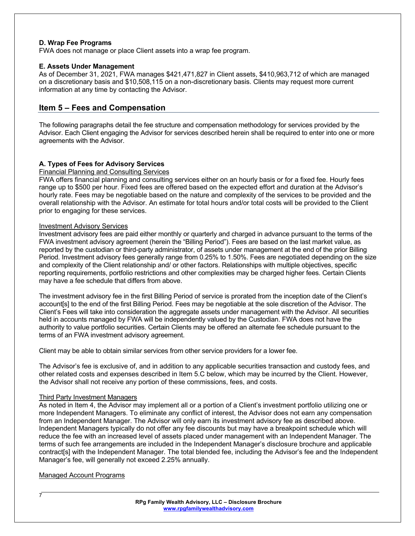#### **D. Wrap Fee Programs**

FWA does not manage or place Client assets into a wrap fee program.

#### **E. Assets Under Management**

As of December 31, 2021, FWA manages \$421,471,827 in Client assets, \$410,963,712 of which are managed on a discretionary basis and \$10,508,115 on a non-discretionary basis. Clients may request more current information at any time by contacting the Advisor.

### **Item 5 – Fees and Compensation**

The following paragraphs detail the fee structure and compensation methodology for services provided by the Advisor. Each Client engaging the Advisor for services described herein shall be required to enter into one or more agreements with the Advisor.

#### **A. Types of Fees for Advisory Services**

#### Financial Planning and Consulting Services

FWA offers financial planning and consulting services either on an hourly basis or for a fixed fee. Hourly fees range up to \$500 per hour. Fixed fees are offered based on the expected effort and duration at the Advisor's hourly rate. Fees may be negotiable based on the nature and complexity of the services to be provided and the overall relationship with the Advisor. An estimate for total hours and/or total costs will be provided to the Client prior to engaging for these services.

#### Investment Advisory Services

Investment advisory fees are paid either monthly or quarterly and charged in advance pursuant to the terms of the FWA investment advisory agreement (herein the "Billing Period"). Fees are based on the last market value, as reported by the custodian or third-party administrator, of assets under management at the end of the prior Billing Period. Investment advisory fees generally range from 0.25% to 1.50%. Fees are negotiated depending on the size and complexity of the Client relationship and/ or other factors. Relationships with multiple objectives, specific reporting requirements, portfolio restrictions and other complexities may be charged higher fees. Certain Clients may have a fee schedule that differs from above.

The investment advisory fee in the first Billing Period of service is prorated from the inception date of the Client's account[s] to the end of the first Billing Period. Fees may be negotiable at the sole discretion of the Advisor. The Client's Fees will take into consideration the aggregate assets under management with the Advisor. All securities held in accounts managed by FWA will be independently valued by the Custodian. FWA does not have the authority to value portfolio securities. Certain Clients may be offered an alternate fee schedule pursuant to the terms of an FWA investment advisory agreement.

Client may be able to obtain similar services from other service providers for a lower fee.

The Advisor's fee is exclusive of, and in addition to any applicable securities transaction and custody fees, and other related costs and expenses described in Item 5.C below, which may be incurred by the Client. However, the Advisor shall not receive any portion of these commissions, fees, and costs.

#### Third Party Investment Managers

As noted in Item 4, the Advisor may implement all or a portion of a Client's investment portfolio utilizing one or more Independent Managers. To eliminate any conflict of interest, the Advisor does not earn any compensation from an Independent Manager. The Advisor will only earn its investment advisory fee as described above. Independent Managers typically do not offer any fee discounts but may have a breakpoint schedule which will reduce the fee with an increased level of assets placed under management with an Independent Manager. The terms of such fee arrangements are included in the Independent Manager's disclosure brochure and applicable contract[s] with the Independent Manager. The total blended fee, including the Advisor's fee and the Independent Manager's fee, will generally not exceed 2.25% annually.

#### Managed Account Programs

7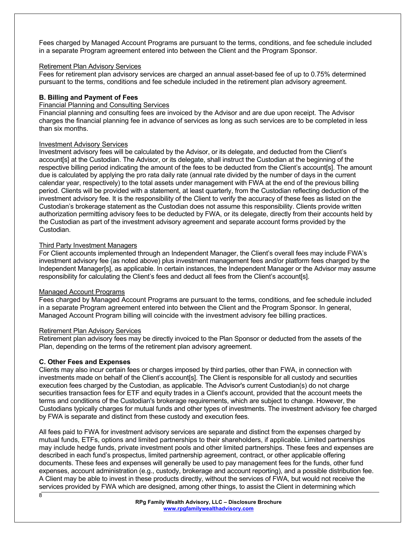Fees charged by Managed Account Programs are pursuant to the terms, conditions, and fee schedule included in a separate Program agreement entered into between the Client and the Program Sponsor.

#### Retirement Plan Advisory Services

Fees for retirement plan advisory services are charged an annual asset-based fee of up to 0.75% determined pursuant to the terms, conditions and fee schedule included in the retirement plan advisory agreement.

#### **B. Billing and Payment of Fees**

#### Financial Planning and Consulting Services

Financial planning and consulting fees are invoiced by the Advisor and are due upon receipt. The Advisor charges the financial planning fee in advance of services as long as such services are to be completed in less than six months.

#### Investment Advisory Services

Investment advisory fees will be calculated by the Advisor, or its delegate, and deducted from the Client's account[s] at the Custodian. The Advisor, or its delegate, shall instruct the Custodian at the beginning of the respective billing period indicating the amount of the fees to be deducted from the Client's account[s]. The amount due is calculated by applying the pro rata daily rate (annual rate divided by the number of days in the current calendar year, respectively) to the total assets under management with FWA at the end of the previous billing period. Clients will be provided with a statement, at least quarterly, from the Custodian reflecting deduction of the investment advisory fee. It is the responsibility of the Client to verify the accuracy of these fees as listed on the Custodian's brokerage statement as the Custodian does not assume this responsibility. Clients provide written authorization permitting advisory fees to be deducted by FWA, or its delegate, directly from their accounts held by the Custodian as part of the investment advisory agreement and separate account forms provided by the Custodian.

#### Third Party Investment Managers

For Client accounts implemented through an Independent Manager, the Client's overall fees may include FWA's investment advisory fee (as noted above) plus investment management fees and/or platform fees charged by the Independent Manager[s], as applicable. In certain instances, the Independent Manager or the Advisor may assume responsibility for calculating the Client's fees and deduct all fees from the Client's account[s].

#### Managed Account Programs

Fees charged by Managed Account Programs are pursuant to the terms, conditions, and fee schedule included in a separate Program agreement entered into between the Client and the Program Sponsor. In general, Managed Account Program billing will coincide with the investment advisory fee billing practices.

#### Retirement Plan Advisory Services

Retirement plan advisory fees may be directly invoiced to the Plan Sponsor or deducted from the assets of the Plan, depending on the terms of the retirement plan advisory agreement.

#### **C. Other Fees and Expenses**

Clients may also incur certain fees or charges imposed by third parties, other than FWA, in connection with investments made on behalf of the Client's account[s]. The Client is responsible for all custody and securities execution fees charged by the Custodian, as applicable. The Advisor's current Custodian(s) do not charge securities transaction fees for ETF and equity trades in a Client's account, provided that the account meets the terms and conditions of the Custodian's brokerage requirements, which are subject to change. However, the Custodians typically charges for mutual funds and other types of investments. The investment advisory fee charged by FWA is separate and distinct from these custody and execution fees.

All fees paid to FWA for investment advisory services are separate and distinct from the expenses charged by mutual funds, ETFs, options and limited partnerships to their shareholders, if applicable. Limited partnerships may include hedge funds, private investment pools and other limited partnerships. These fees and expenses are described in each fund's prospectus, limited partnership agreement, contract, or other applicable offering documents. These fees and expenses will generally be used to pay management fees for the funds, other fund expenses, account administration (e.g., custody, brokerage and account reporting), and a possible distribution fee. A Client may be able to invest in these products directly, without the services of FWA, but would not receive the services provided by FWA which are designed, among other things, to assist the Client in determining which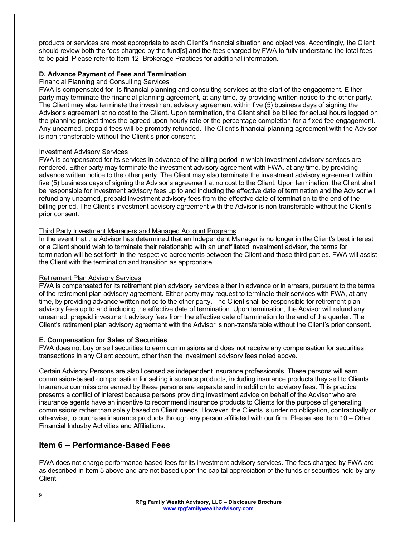products or services are most appropriate to each Client's financial situation and objectives. Accordingly, the Client should review both the fees charged by the fund[s] and the fees charged by FWA to fully understand the total fees to be paid. Please refer to Item 12- Brokerage Practices for additional information.

#### **D. Advance Payment of Fees and Termination**

#### Financial Planning and Consulting Services

FWA is compensated for its financial planning and consulting services at the start of the engagement. Either party may terminate the financial planning agreement, at any time, by providing written notice to the other party. The Client may also terminate the investment advisory agreement within five (5) business days of signing the Advisor's agreement at no cost to the Client. Upon termination, the Client shall be billed for actual hours logged on the planning project times the agreed upon hourly rate or the percentage completion for a fixed fee engagement. Any unearned, prepaid fees will be promptly refunded. The Client's financial planning agreement with the Advisor is non-transferable without the Client's prior consent.

#### Investment Advisory Services

FWA is compensated for its services in advance of the billing period in which investment advisory services are rendered. Either party may terminate the investment advisory agreement with FWA, at any time, by providing advance written notice to the other party. The Client may also terminate the investment advisory agreement within five (5) business days of signing the Advisor's agreement at no cost to the Client. Upon termination, the Client shall be responsible for investment advisory fees up to and including the effective date of termination and the Advisor will refund any unearned, prepaid investment advisory fees from the effective date of termination to the end of the billing period. The Client's investment advisory agreement with the Advisor is non-transferable without the Client's prior consent.

#### Third Party Investment Managers and Managed Account Programs

In the event that the Advisor has determined that an Independent Manager is no longer in the Client's best interest or a Client should wish to terminate their relationship with an unaffiliated investment advisor, the terms for termination will be set forth in the respective agreements between the Client and those third parties. FWA will assist the Client with the termination and transition as appropriate.

#### Retirement Plan Advisory Services

FWA is compensated for its retirement plan advisory services either in advance or in arrears, pursuant to the terms of the retirement plan advisory agreement. Either party may request to terminate their services with FWA, at any time, by providing advance written notice to the other party. The Client shall be responsible for retirement plan advisory fees up to and including the effective date of termination. Upon termination, the Advisor will refund any unearned, prepaid investment advisory fees from the effective date of termination to the end of the quarter. The Client's retirement plan advisory agreement with the Advisor is non-transferable without the Client's prior consent.

#### **E. Compensation for Sales of Securities**

FWA does not buy or sell securities to earn commissions and does not receive any compensation for securities transactions in any Client account, other than the investment advisory fees noted above.

Certain Advisory Persons are also licensed as independent insurance professionals. These persons will earn commission-based compensation for selling insurance products, including insurance products they sell to Clients. Insurance commissions earned by these persons are separate and in addition to advisory fees. This practice presents a conflict of interest because persons providing investment advice on behalf of the Advisor who are insurance agents have an incentive to recommend insurance products to Clients for the purpose of generating commissions rather than solely based on Client needs. However, the Clients is under no obligation, contractually or otherwise, to purchase insurance products through any person affiliated with our firm. Please see Item 10 – Other Financial Industry Activities and Affiliations.

# **Item 6 – Performance-Based Fees**

FWA does not charge performance-based fees for its investment advisory services. The fees charged by FWA are as described in Item 5 above and are not based upon the capital appreciation of the funds or securities held by any Client.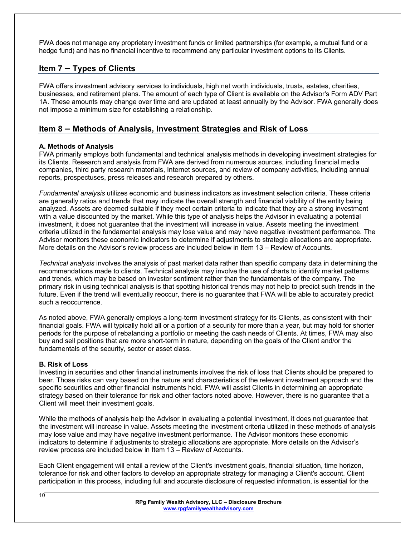FWA does not manage any proprietary investment funds or limited partnerships (for example, a mutual fund or a hedge fund) and has no financial incentive to recommend any particular investment options to its Clients.

# **Item 7 – Types of Clients**

FWA offers investment advisory services to individuals, high net worth individuals, trusts, estates, charities, businesses, and retirement plans. The amount of each type of Client is available on the Advisor's Form ADV Part 1A. These amounts may change over time and are updated at least annually by the Advisor. FWA generally does not impose a minimum size for establishing a relationship.

# **Item 8 – Methods of Analysis, Investment Strategies and Risk of Loss**

#### **A. Methods of Analysis**

FWA primarily employs both fundamental and technical analysis methods in developing investment strategies for its Clients. Research and analysis from FWA are derived from numerous sources, including financial media companies, third party research materials, Internet sources, and review of company activities, including annual reports, prospectuses, press releases and research prepared by others.

*Fundamental analysis* utilizes economic and business indicators as investment selection criteria. These criteria are generally ratios and trends that may indicate the overall strength and financial viability of the entity being analyzed. Assets are deemed suitable if they meet certain criteria to indicate that they are a strong investment with a value discounted by the market. While this type of analysis helps the Advisor in evaluating a potential investment, it does not guarantee that the investment will increase in value. Assets meeting the investment criteria utilized in the fundamental analysis may lose value and may have negative investment performance. The Advisor monitors these economic indicators to determine if adjustments to strategic allocations are appropriate. More details on the Advisor's review process are included below in Item 13 – Review of Accounts.

*Technical analysis* involves the analysis of past market data rather than specific company data in determining the recommendations made to clients. Technical analysis may involve the use of charts to identify market patterns and trends, which may be based on investor sentiment rather than the fundamentals of the company. The primary risk in using technical analysis is that spotting historical trends may not help to predict such trends in the future. Even if the trend will eventually reoccur, there is no guarantee that FWA will be able to accurately predict such a reoccurrence.

As noted above, FWA generally employs a long-term investment strategy for its Clients, as consistent with their financial goals. FWA will typically hold all or a portion of a security for more than a year, but may hold for shorter periods for the purpose of rebalancing a portfolio or meeting the cash needs of Clients. At times, FWA may also buy and sell positions that are more short-term in nature, depending on the goals of the Client and/or the fundamentals of the security, sector or asset class.

#### **B. Risk of Loss**

Investing in securities and other financial instruments involves the risk of loss that Clients should be prepared to bear. Those risks can vary based on the nature and characteristics of the relevant investment approach and the specific securities and other financial instruments held. FWA will assist Clients in determining an appropriate strategy based on their tolerance for risk and other factors noted above. However, there is no guarantee that a Client will meet their investment goals.

While the methods of analysis help the Advisor in evaluating a potential investment, it does not guarantee that the investment will increase in value. Assets meeting the investment criteria utilized in these methods of analysis may lose value and may have negative investment performance. The Advisor monitors these economic indicators to determine if adjustments to strategic allocations are appropriate. More details on the Advisor's review process are included below in Item 13 – Review of Accounts.

Each Client engagement will entail a review of the Client's investment goals, financial situation, time horizon, tolerance for risk and other factors to develop an appropriate strategy for managing a Client's account. Client participation in this process, including full and accurate disclosure of requested information, is essential for the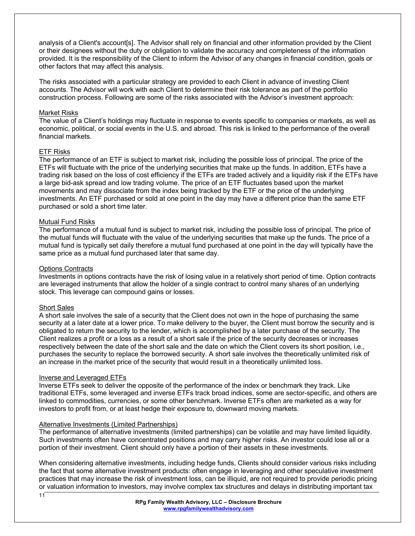analysis of a Client's account[s]. The Advisor shall rely on financial and other information provided by the Client or their designees without the duty or obligation to validate the accuracy and completeness of the information provided. It is the responsibility of the Client to inform the Advisor of any changes in financial condition, goals or other factors that may affect this analysis.

The risks associated with a particular strategy are provided to each Client in advance of investing Client accounts. The Advisor will work with each Client to determine their risk tolerance as part of the portfolio construction process. Following are some of the risks associated with the Advisor's investment approach:

#### Market Risks

The value of a Client's holdings may fluctuate in response to events specific to companies or markets, as well as economic, political, or social events in the U.S. and abroad. This risk is linked to the performance of the overall financial markets.

#### ETF Risks

The performance of an ETF is subject to market risk, including the possible loss of principal. The price of the ETFs will fluctuate with the price of the underlying securities that make up the funds. In addition, ETFs have a trading risk based on the loss of cost efficiency if the ETFs are traded actively and a liquidity risk if the ETFs have a large bid-ask spread and low trading volume. The price of an ETF fluctuates based upon the market movements and may dissociate from the index being tracked by the ETF or the price of the underlying investments. An ETF purchased or sold at one point in the day may have a different price than the same ETF purchased or sold a short time later.

#### Mutual Fund Risks

The performance of a mutual fund is subject to market risk, including the possible loss of principal. The price of the mutual funds will fluctuate with the value of the underlying securities that make up the funds. The price of a mutual fund is typically set daily therefore a mutual fund purchased at one point in the day will typically have the same price as a mutual fund purchased later that same day.

#### Options Contracts

Investments in options contracts have the risk of losing value in a relatively short period of time. Option contracts are leveraged instruments that allow the holder of a single contract to control many shares of an underlying stock. This leverage can compound gains or losses.

#### Short Sales

A short sale involves the sale of a security that the Client does not own in the hope of purchasing the same security at a later date at a lower price. To make delivery to the buyer, the Client must borrow the security and is obligated to return the security to the lender, which is accomplished by a later purchase of the security. The Client realizes a profit or a loss as a result of a short sale if the price of the security decreases or increases respectively between the date of the short sale and the date on which the Client covers its short position, i.e., purchases the security to replace the borrowed security. A short sale involves the theoretically unlimited risk of an increase in the market price of the security that would result in a theoretically unlimited loss.

#### Inverse and Leveraged ETFs

Inverse ETFs seek to deliver the opposite of the performance of the index or benchmark they track. Like traditional ETFs, some leveraged and inverse ETFs track broad indices, some are sector-specific, and others are linked to commodities, currencies, or some other benchmark. Inverse ETFs often are marketed as a way for investors to profit from, or at least hedge their exposure to, downward moving markets.

#### Alternative Investments (Limited Partnerships)

The performance of alternative investments (limited partnerships) can be volatile and may have limited liquidity. Such investments often have concentrated positions and may carry higher risks. An investor could lose all or a portion of their investment. Client should only have a portion of their assets in these investments.

When considering alternative investments, including hedge funds, Clients should consider various risks including the fact that some alternative investment products: often engage in leveraging and other speculative investment practices that may increase the risk of investment loss, can be illiquid, are not required to provide periodic pricing or valuation information to investors, may involve complex tax structures and delays in distributing important tax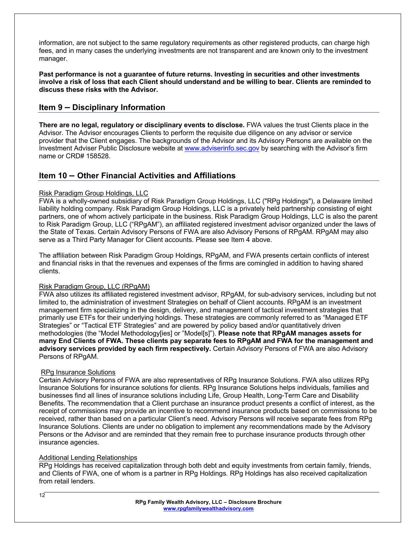information, are not subject to the same regulatory requirements as other registered products, can charge high fees, and in many cases the underlying investments are not transparent and are known only to the investment manager.

**Past performance is not a guarantee of future returns. Investing in securities and other investments involve a risk of loss that each Client should understand and be willing to bear. Clients are reminded to discuss these risks with the Advisor.** 

### **Item 9 – Disciplinary Information**

**There are no legal, regulatory or disciplinary events to disclose.** FWA values the trust Clients place in the Advisor. The Advisor encourages Clients to perform the requisite due diligence on any advisor or service provider that the Client engages. The backgrounds of the Advisor and its Advisory Persons are available on the Investment Adviser Public Disclosure website at www.adviserinfo.sec.gov by searching with the Advisor's firm name or CRD# 158528.

# **Item 10 – Other Financial Activities and Affiliations**

#### Risk Paradigm Group Holdings, LLC

FWA is a wholly-owned subsidiary of Risk Paradigm Group Holdings, LLC ("RPg Holdings"), a Delaware limited liability holding company. Risk Paradigm Group Holdings, LLC is a privately held partnership consisting of eight partners, one of whom actively participate in the business. Risk Paradigm Group Holdings, LLC is also the parent to Risk Paradigm Group, LLC ("RPgAM"), an affiliated registered investment advisor organized under the laws of the State of Texas. Certain Advisory Persons of FWA are also Advisory Persons of RPgAM. RPgAM may also serve as a Third Party Manager for Client accounts. Please see Item 4 above.

The affiliation between Risk Paradigm Group Holdings, RPgAM, and FWA presents certain conflicts of interest and financial risks in that the revenues and expenses of the firms are comingled in addition to having shared clients.

#### Risk Paradigm Group, LLC (RPgAM)

FWA also utilizes its affiliated registered investment advisor, RPgAM, for sub-advisory services, including but not limited to, the administration of investment Strategies on behalf of Client accounts. RPgAM is an investment management firm specializing in the design, delivery, and management of tactical investment strategies that primarily use ETFs for their underlying holdings. These strategies are commonly referred to as "Managed ETF Strategies" or "Tactical ETF Strategies" and are powered by policy based and/or quantitatively driven methodologies (the "Model Methodology[ies] or "Model[s]"). **Please note that RPgAM manages assets for many End Clients of FWA. These clients pay separate fees to RPgAM and FWA for the management and advisory services provided by each firm respectively.** Certain Advisory Persons of FWA are also Advisory Persons of RPgAM.

#### RPg Insurance Solutions

Certain Advisory Persons of FWA are also representatives of RPg Insurance Solutions. FWA also utilizes RPg Insurance Solutions for insurance solutions for clients. RPg Insurance Solutions helps individuals, families and businesses find all lines of insurance solutions including Life, Group Health, Long-Term Care and Disability Benefits. The recommendation that a Client purchase an insurance product presents a conflict of interest, as the receipt of commissions may provide an incentive to recommend insurance products based on commissions to be received, rather than based on a particular Client's need. Advisory Persons will receive separate fees from RPg Insurance Solutions. Clients are under no obligation to implement any recommendations made by the Advisory Persons or the Advisor and are reminded that they remain free to purchase insurance products through other insurance agencies.

#### Additional Lending Relationships

RPg Holdings has received capitalization through both debt and equity investments from certain family, friends, and Clients of FWA, one of whom is a partner in RPg Holdings. RPg Holdings has also received capitalization from retail lenders.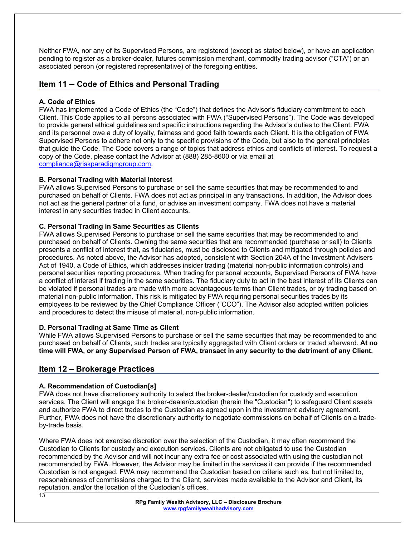Neither FWA, nor any of its Supervised Persons, are registered (except as stated below), or have an application pending to register as a broker-dealer, futures commission merchant, commodity trading advisor ("CTA") or an associated person (or registered representative) of the foregoing entities.

### **Item 11 – Code of Ethics and Personal Trading**

#### **A. Code of Ethics**

FWA has implemented a Code of Ethics (the "Code") that defines the Advisor's fiduciary commitment to each Client. This Code applies to all persons associated with FWA ("Supervised Persons"). The Code was developed to provide general ethical guidelines and specific instructions regarding the Advisor's duties to the Client. FWA and its personnel owe a duty of loyalty, fairness and good faith towards each Client. It is the obligation of FWA Supervised Persons to adhere not only to the specific provisions of the Code, but also to the general principles that guide the Code. The Code covers a range of topics that address ethics and conflicts of interest. To request a copy of the Code, please contact the Advisor at (888) 285-8600 or via email at compliance@riskparadigmgroup.com.

#### **B. Personal Trading with Material Interest**

FWA allows Supervised Persons to purchase or sell the same securities that may be recommended to and purchased on behalf of Clients. FWA does not act as principal in any transactions. In addition, the Advisor does not act as the general partner of a fund, or advise an investment company. FWA does not have a material interest in any securities traded in Client accounts.

#### **C. Personal Trading in Same Securities as Clients**

FWA allows Supervised Persons to purchase or sell the same securities that may be recommended to and purchased on behalf of Clients. Owning the same securities that are recommended (purchase or sell) to Clients presents a conflict of interest that, as fiduciaries, must be disclosed to Clients and mitigated through policies and procedures. As noted above, the Advisor has adopted, consistent with Section 204A of the Investment Advisers Act of 1940, a Code of Ethics, which addresses insider trading (material non-public information controls) and personal securities reporting procedures. When trading for personal accounts, Supervised Persons of FWA have a conflict of interest if trading in the same securities. The fiduciary duty to act in the best interest of its Clients can be violated if personal trades are made with more advantageous terms than Client trades, or by trading based on material non-public information. This risk is mitigated by FWA requiring personal securities trades by its employees to be reviewed by the Chief Compliance Officer ("CCO"). The Advisor also adopted written policies and procedures to detect the misuse of material, non-public information.

#### **D. Personal Trading at Same Time as Client**

While FWA allows Supervised Persons to purchase or sell the same securities that may be recommended to and purchased on behalf of Clients, such trades are typically aggregated with Client orders or traded afterward. **At no time will FWA, or any Supervised Person of FWA, transact in any security to the detriment of any Client.**

#### **Item 12 – Brokerage Practices**

#### **A. Recommendation of Custodian[s]**

FWA does not have discretionary authority to select the broker-dealer/custodian for custody and execution services. The Client will engage the broker-dealer/custodian (herein the "Custodian") to safeguard Client assets and authorize FWA to direct trades to the Custodian as agreed upon in the investment advisory agreement. Further, FWA does not have the discretionary authority to negotiate commissions on behalf of Clients on a tradeby-trade basis.

Where FWA does not exercise discretion over the selection of the Custodian, it may often recommend the Custodian to Clients for custody and execution services. Clients are not obligated to use the Custodian recommended by the Advisor and will not incur any extra fee or cost associated with using the custodian not recommended by FWA. However, the Advisor may be limited in the services it can provide if the recommended Custodian is not engaged. FWA may recommend the Custodian based on criteria such as, but not limited to, reasonableness of commissions charged to the Client, services made available to the Advisor and Client, its reputation, and/or the location of the Custodian's offices.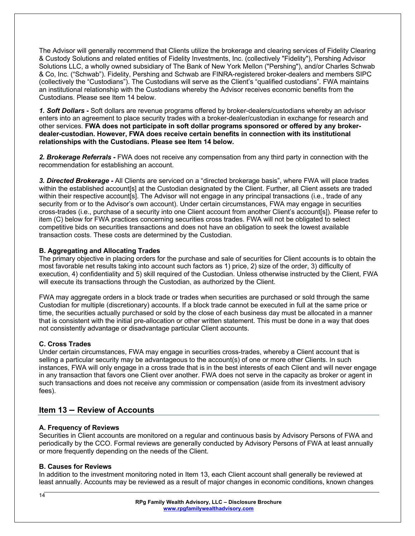The Advisor will generally recommend that Clients utilize the brokerage and clearing services of Fidelity Clearing & Custody Solutions and related entities of Fidelity Investments, Inc. (collectively "Fidelity"), Pershing Advisor Solutions LLC, a wholly owned subsidiary of The Bank of New York Mellon ("Pershing"), and/or Charles Schwab & Co, Inc. ("Schwab"). Fidelity, Pershing and Schwab are FINRA-registered broker-dealers and members SIPC (collectively the "Custodians"). The Custodians will serve as the Client's "qualified custodians". FWA maintains an institutional relationship with the Custodians whereby the Advisor receives economic benefits from the Custodians. Please see Item 14 below.

*1. Soft Dollars -* Soft dollars are revenue programs offered by broker-dealers/custodians whereby an advisor enters into an agreement to place security trades with a broker-dealer/custodian in exchange for research and other services. **FWA does not participate in soft dollar programs sponsored or offered by any brokerdealer-custodian. However, FWA does receive certain benefits in connection with its institutional relationships with the Custodians. Please see Item 14 below.**

*2. Brokerage Referrals -* FWA does not receive any compensation from any third party in connection with the recommendation for establishing an account.

*3. Directed Brokerage -* All Clients are serviced on a "directed brokerage basis", where FWA will place trades within the established account[s] at the Custodian designated by the Client. Further, all Client assets are traded within their respective account[s]. The Advisor will not engage in any principal transactions (i.e., trade of any security from or to the Advisor's own account). Under certain circumstances, FWA may engage in securities cross-trades (i.e., purchase of a security into one Client account from another Client's account[s]). Please refer to item (C) below for FWA practices concerning securities cross trades. FWA will not be obligated to select competitive bids on securities transactions and does not have an obligation to seek the lowest available transaction costs. These costs are determined by the Custodian.

#### **B. Aggregating and Allocating Trades**

The primary objective in placing orders for the purchase and sale of securities for Client accounts is to obtain the most favorable net results taking into account such factors as 1) price, 2) size of the order, 3) difficulty of execution, 4) confidentiality and 5) skill required of the Custodian. Unless otherwise instructed by the Client, FWA will execute its transactions through the Custodian, as authorized by the Client.

FWA may aggregate orders in a block trade or trades when securities are purchased or sold through the same Custodian for multiple (discretionary) accounts. If a block trade cannot be executed in full at the same price or time, the securities actually purchased or sold by the close of each business day must be allocated in a manner that is consistent with the initial pre-allocation or other written statement. This must be done in a way that does not consistently advantage or disadvantage particular Client accounts.

#### **C. Cross Trades**

Under certain circumstances, FWA may engage in securities cross-trades, whereby a Client account that is selling a particular security may be advantageous to the account(s) of one or more other Clients. In such instances, FWA will only engage in a cross trade that is in the best interests of each Client and will never engage in any transaction that favors one Client over another. FWA does not serve in the capacity as broker or agent in such transactions and does not receive any commission or compensation (aside from its investment advisory fees).

### **Item 13 – Review of Accounts**

#### **A. Frequency of Reviews**

Securities in Client accounts are monitored on a regular and continuous basis by Advisory Persons of FWA and periodically by the CCO. Formal reviews are generally conducted by Advisory Persons of FWA at least annually or more frequently depending on the needs of the Client.

#### **B. Causes for Reviews**

In addition to the investment monitoring noted in Item 13, each Client account shall generally be reviewed at least annually. Accounts may be reviewed as a result of major changes in economic conditions, known changes

 $14$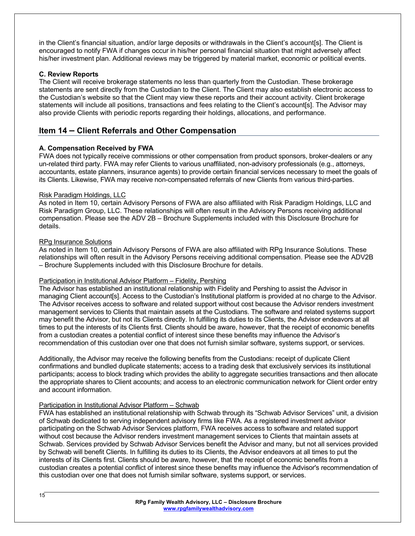in the Client's financial situation, and/or large deposits or withdrawals in the Client's account[s]. The Client is encouraged to notify FWA if changes occur in his/her personal financial situation that might adversely affect his/her investment plan. Additional reviews may be triggered by material market, economic or political events.

#### **C. Review Reports**

The Client will receive brokerage statements no less than quarterly from the Custodian. These brokerage statements are sent directly from the Custodian to the Client. The Client may also establish electronic access to the Custodian's website so that the Client may view these reports and their account activity. Client brokerage statements will include all positions, transactions and fees relating to the Client's account[s]. The Advisor may also provide Clients with periodic reports regarding their holdings, allocations, and performance.

# **Item 14 – Client Referrals and Other Compensation**

#### **A. Compensation Received by FWA**

FWA does not typically receive commissions or other compensation from product sponsors, broker-dealers or any un-related third party. FWA may refer Clients to various unaffiliated, non-advisory professionals (e.g., attorneys, accountants, estate planners, insurance agents) to provide certain financial services necessary to meet the goals of its Clients. Likewise, FWA may receive non-compensated referrals of new Clients from various third-parties.

#### Risk Paradigm Holdings, LLC

As noted in Item 10, certain Advisory Persons of FWA are also affiliated with Risk Paradigm Holdings, LLC and Risk Paradigm Group, LLC. These relationships will often result in the Advisory Persons receiving additional compensation. Please see the ADV 2B – Brochure Supplements included with this Disclosure Brochure for details.

#### RPg Insurance Solutions

As noted in Item 10, certain Advisory Persons of FWA are also affiliated with RPg Insurance Solutions. These relationships will often result in the Advisory Persons receiving additional compensation. Please see the ADV2B – Brochure Supplements included with this Disclosure Brochure for details.

#### Participation in Institutional Advisor Platform – Fidelity, Pershing

The Advisor has established an institutional relationship with Fidelity and Pershing to assist the Advisor in managing Client account[s]. Access to the Custodian's Institutional platform is provided at no charge to the Advisor. The Advisor receives access to software and related support without cost because the Advisor renders investment management services to Clients that maintain assets at the Custodians. The software and related systems support may benefit the Advisor, but not its Clients directly. In fulfilling its duties to its Clients, the Advisor endeavors at all times to put the interests of its Clients first. Clients should be aware, however, that the receipt of economic benefits from a custodian creates a potential conflict of interest since these benefits may influence the Advisor's recommendation of this custodian over one that does not furnish similar software, systems support, or services.

Additionally, the Advisor may receive the following benefits from the Custodians: receipt of duplicate Client confirmations and bundled duplicate statements; access to a trading desk that exclusively services its institutional participants; access to block trading which provides the ability to aggregate securities transactions and then allocate the appropriate shares to Client accounts; and access to an electronic communication network for Client order entry and account information.

#### Participation in Institutional Advisor Platform – Schwab

FWA has established an institutional relationship with Schwab through its "Schwab Advisor Services" unit, a division of Schwab dedicated to serving independent advisory firms like FWA. As a registered investment advisor participating on the Schwab Advisor Services platform, FWA receives access to software and related support without cost because the Advisor renders investment management services to Clients that maintain assets at Schwab. Services provided by Schwab Advisor Services benefit the Advisor and many, but not all services provided by Schwab will benefit Clients. In fulfilling its duties to its Clients, the Advisor endeavors at all times to put the interests of its Clients first. Clients should be aware, however, that the receipt of economic benefits from a custodian creates a potential conflict of interest since these benefits may influence the Advisor's recommendation of this custodian over one that does not furnish similar software, systems support, or services.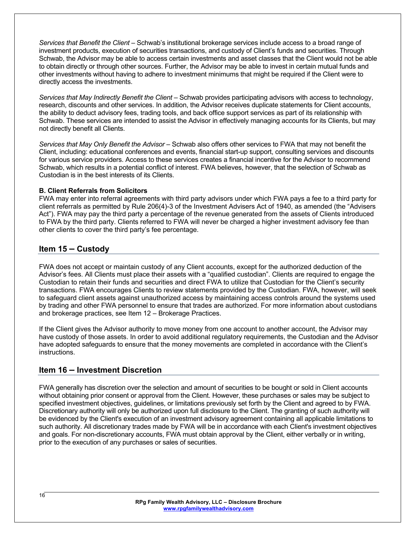*Services that Benefit the Client* – Schwab's institutional brokerage services include access to a broad range of investment products, execution of securities transactions, and custody of Client's funds and securities. Through Schwab, the Advisor may be able to access certain investments and asset classes that the Client would not be able to obtain directly or through other sources. Further, the Advisor may be able to invest in certain mutual funds and other investments without having to adhere to investment minimums that might be required if the Client were to directly access the investments.

*Services that May Indirectly Benefit the Client* – Schwab provides participating advisors with access to technology, research, discounts and other services. In addition, the Advisor receives duplicate statements for Client accounts, the ability to deduct advisory fees, trading tools, and back office support services as part of its relationship with Schwab. These services are intended to assist the Advisor in effectively managing accounts for its Clients, but may not directly benefit all Clients.

*Services that May Only Benefit the Advisor* – Schwab also offers other services to FWA that may not benefit the Client, including: educational conferences and events, financial start-up support, consulting services and discounts for various service providers. Access to these services creates a financial incentive for the Advisor to recommend Schwab, which results in a potential conflict of interest. FWA believes, however, that the selection of Schwab as Custodian is in the best interests of its Clients.

#### **B. Client Referrals from Solicitors**

FWA may enter into referral agreements with third party advisors under which FWA pays a fee to a third party for client referrals as permitted by Rule 206(4)-3 of the Investment Advisers Act of 1940, as amended (the "Advisers Act"). FWA may pay the third party a percentage of the revenue generated from the assets of Clients introduced to FWA by the third party. Clients referred to FWA will never be charged a higher investment advisory fee than other clients to cover the third party's fee percentage.

### **Item 15 – Custody**

FWA does not accept or maintain custody of any Client accounts, except for the authorized deduction of the Advisor's fees. All Clients must place their assets with a "qualified custodian". Clients are required to engage the Custodian to retain their funds and securities and direct FWA to utilize that Custodian for the Client's security transactions. FWA encourages Clients to review statements provided by the Custodian. FWA, however, will seek to safeguard client assets against unauthorized access by maintaining access controls around the systems used by trading and other FWA personnel to ensure that trades are authorized. For more information about custodians and brokerage practices, see Item 12 – Brokerage Practices.

If the Client gives the Advisor authority to move money from one account to another account, the Advisor may have custody of those assets. In order to avoid additional regulatory requirements, the Custodian and the Advisor have adopted safeguards to ensure that the money movements are completed in accordance with the Client's instructions.

# **Item 16 – Investment Discretion**

FWA generally has discretion over the selection and amount of securities to be bought or sold in Client accounts without obtaining prior consent or approval from the Client. However, these purchases or sales may be subject to specified investment objectives, guidelines, or limitations previously set forth by the Client and agreed to by FWA. Discretionary authority will only be authorized upon full disclosure to the Client. The granting of such authority will be evidenced by the Client's execution of an investment advisory agreement containing all applicable limitations to such authority. All discretionary trades made by FWA will be in accordance with each Client's investment objectives and goals. For non-discretionary accounts, FWA must obtain approval by the Client, either verbally or in writing, prior to the execution of any purchases or sales of securities.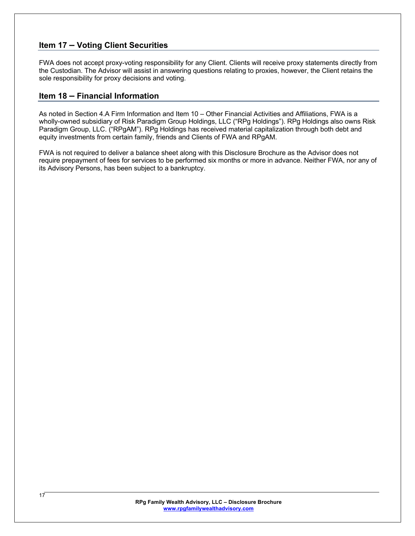# **Item 17 – Voting Client Securities**

FWA does not accept proxy-voting responsibility for any Client. Clients will receive proxy statements directly from the Custodian. The Advisor will assist in answering questions relating to proxies, however, the Client retains the sole responsibility for proxy decisions and voting.

### **Item 18 – Financial Information**

As noted in Section 4.A Firm Information and Item 10 – Other Financial Activities and Affiliations, FWA is a wholly-owned subsidiary of Risk Paradigm Group Holdings, LLC ("RPg Holdings"). RPg Holdings also owns Risk Paradigm Group, LLC. ("RPgAM"). RPg Holdings has received material capitalization through both debt and equity investments from certain family, friends and Clients of FWA and RPgAM.

FWA is not required to deliver a balance sheet along with this Disclosure Brochure as the Advisor does not require prepayment of fees for services to be performed six months or more in advance. Neither FWA, nor any of its Advisory Persons, has been subject to a bankruptcy.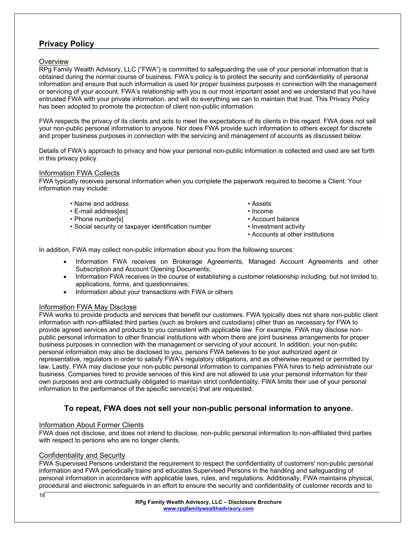# **Privacy Policy**

#### **Overview**

RPg Family Wealth Advisory, LLC ("FWA") is committed to safeguarding the use of your personal information that is obtained during the normal course of business. FWA's policy is to protect the security and confidentiality of personal information and ensure that such information is used for proper business purposes in connection with the management or servicing of your account. FWA's relationship with you is our most important asset and we understand that you have entrusted FWA with your private information, and will do everything we can to maintain that trust. This Privacy Policy has been adopted to promote the protection of client non-public information.

FWA respects the privacy of its clients and acts to meet the expectations of its clients in this regard. FWA does not sell your non-public personal information to anyone. Nor does FWA provide such information to others except for discrete and proper business purposes in connection with the servicing and management of accounts as discussed below.

Details of FWA's approach to privacy and how your personal non-public information is collected and used are set forth in this privacy policy.

#### Information FWA Collects

FWA typically receives personal information when you complete the paperwork required to become a Client. Your information may include:

| • Name and address                                  | • Assets                         |
|-----------------------------------------------------|----------------------------------|
| • E-mail address[es]                                | • Income                         |
| • Phone number[s]                                   | • Account balance                |
| • Social security or taxpayer identification number | • Investment activity            |
|                                                     | • Accounts at other institutions |

In addition, FWA may collect non-public information about you from the following sources:

- Information FWA receives on Brokerage Agreements, Managed Account Agreements and other Subscription and Account Opening Documents;
- Information FWA receives in the course of establishing a customer relationship including, but not limited to, applications, forms, and questionnaires;
- Information about your transactions with FWA or others

#### Information FWA May Disclose

FWA works to provide products and services that benefit our customers. FWA typically does not share non-public client information with non-affiliated third parties (such as brokers and custodians) other than as necessary for FWA to provide agreed services and products to you consistent with applicable law. For example, FWA may disclose nonpublic personal information to other financial institutions with whom there are joint business arrangements for proper business purposes in connection with the management or servicing of your account. In addition, your non-public personal information may also be disclosed to you, persons FWA believes to be your authorized agent or representative, regulators in order to satisfy FWA's regulatory obligations, and as otherwise required or permitted by law. Lastly, FWA may disclose your non-public personal information to companies FWA hires to help administrate our business. Companies hired to provide services of this kind are not allowed to use your personal information for their own purposes and are contractually obligated to maintain strict confidentiality. FWA limits their use of your personal information to the performance of the specific service(s) that are requested.

### **To repeat, FWA does not sell your non-public personal information to anyone.**

#### Information About Former Clients

FWA does not disclose, and does not intend to disclose, non-public personal information to non-affiliated third parties with respect to persons who are no longer clients.

#### Confidentiality and Security

FWA Supervised Persons understand the requirement to respect the confidentiality of customers' non-public personal information and FWA periodically trains and educates Supervised Persons in the handling and safeguarding of personal information in accordance with applicable laws, rules, and regulations. Additionally, FWA maintains physical, procedural and electronic safeguards in an effort to ensure the security and confidentiality of customer records and to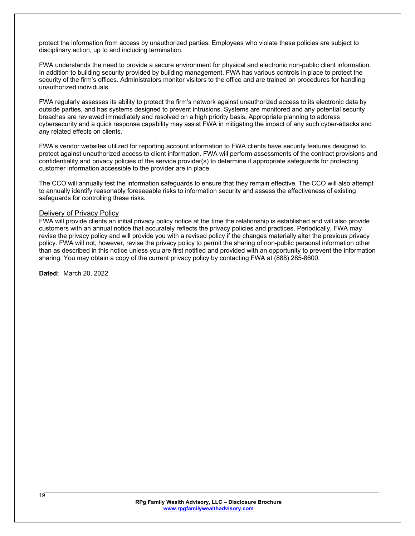protect the information from access by unauthorized parties. Employees who violate these policies are subject to disciplinary action, up to and including termination.

FWA understands the need to provide a secure environment for physical and electronic non-public client information. In addition to building security provided by building management, FWA has various controls in place to protect the security of the firm's offices. Administrators monitor visitors to the office and are trained on procedures for handling unauthorized individuals.

FWA regularly assesses its ability to protect the firm's network against unauthorized access to its electronic data by outside parties, and has systems designed to prevent intrusions. Systems are monitored and any potential security breaches are reviewed immediately and resolved on a high priority basis. Appropriate planning to address cybersecurity and a quick response capability may assist FWA in mitigating the impact of any such cyber-attacks and any related effects on clients.

FWA's vendor websites utilized for reporting account information to FWA clients have security features designed to protect against unauthorized access to client information. FWA will perform assessments of the contract provisions and confidentiality and privacy policies of the service provider(s) to determine if appropriate safeguards for protecting customer information accessible to the provider are in place.

The CCO will annually test the information safeguards to ensure that they remain effective. The CCO will also attempt to annually identify reasonably foreseeable risks to information security and assess the effectiveness of existing safeguards for controlling these risks.

#### Delivery of Privacy Policy

FWA will provide clients an initial privacy policy notice at the time the relationship is established and will also provide customers with an annual notice that accurately reflects the privacy policies and practices. Periodically, FWA may revise the privacy policy and will provide you with a revised policy if the changes materially alter the previous privacy policy. FWA will not, however, revise the privacy policy to permit the sharing of non-public personal information other than as described in this notice unless you are first notified and provided with an opportunity to prevent the information sharing. You may obtain a copy of the current privacy policy by contacting FWA at (888) 285-8600.

**Dated:** March 20, 2022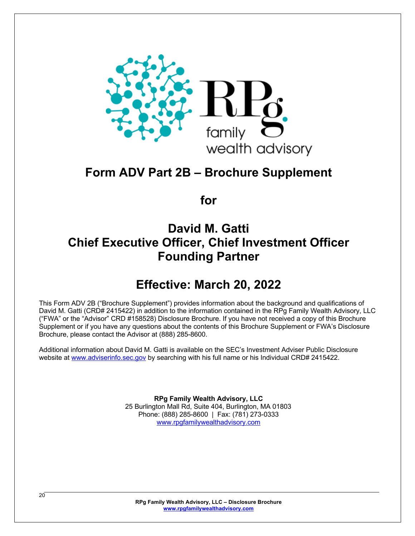

# **Form ADV Part 2B – Brochure Supplement**

**for**

# **David M. Gatti Chief Executive Officer, Chief Investment Officer Founding Partner**

# **Effective: March 20, 2022**

This Form ADV 2B ("Brochure Supplement") provides information about the background and qualifications of David M. Gatti (CRD# 2415422) in addition to the information contained in the RPg Family Wealth Advisory, LLC ("FWA" or the "Advisor" CRD #158528) Disclosure Brochure. If you have not received a copy of this Brochure Supplement or if you have any questions about the contents of this Brochure Supplement or FWA's Disclosure Brochure, please contact the Advisor at (888) 285-8600.

Additional information about David M. Gatti is available on the SEC's Investment Adviser Public Disclosure website at www.adviserinfo.sec.gov by searching with his full name or his Individual CRD# 2415422.

> **RPg Family Wealth Advisory, LLC** 25 Burlington Mall Rd, Suite 404, Burlington, MA 01803 Phone: (888) 285-8600 | Fax: (781) 273-0333 www.rpgfamilywealthadvisory.com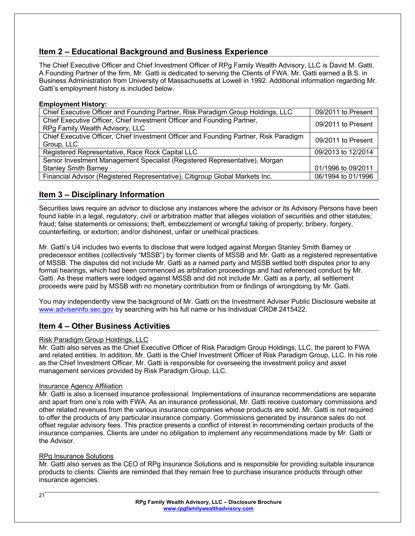# **Item 2 – Educational Background and Business Experience**

The Chief Executive Officer and Chief Investment Officer of RPg Family Wealth Advisory, LLC is David M. Gatti. A Founding Partner of the firm, Mr. Gatti is dedicated to serving the Clients of FWA. Mr. Gatti earned a B.S. in Business Administration from University of Massachusetts at Lowell in 1992. Additional information regarding Mr. Gatti's employment history is included below.

#### **Employment History:**

| Chief Executive Officer and Founding Partner, Risk Paradigm Group Holdings, LLC       | 09/2011 to Present |
|---------------------------------------------------------------------------------------|--------------------|
| Chief Executive Officer, Chief Investment Officer and Founding Partner,               | 09/2011 to Present |
| RPg Family Wealth Advisory, LLC                                                       |                    |
| Chief Executive Officer, Chief Investment Officer and Founding Partner, Risk Paradigm | 09/2011 to Present |
| Group, LLC                                                                            |                    |
| Registered Representative, Race Rock Capital LLC                                      | 09/2013 to 12/2014 |
| Senior Investment Management Specialist (Registered Representative), Morgan           |                    |
| <b>Stanley Smith Barney</b>                                                           | 01/1996 to 09/2011 |
| Financial Advisor (Registered Representative), Citigroup Global Markets Inc.          | 06/1994 to 01/1996 |

### **Item 3 – Disciplinary Information**

Securities laws require an advisor to disclose any instances where the advisor or its Advisory Persons have been found liable in a legal, regulatory, civil or arbitration matter that alleges violation of securities and other statutes; fraud; false statements or omissions; theft, embezzlement or wrongful taking of property; bribery, forgery, counterfeiting, or extortion; and/or dishonest, unfair or unethical practices.

Mr. Gatti's U4 includes two events to disclose that were lodged against Morgan Stanley Smith Barney or predecessor entities (collectively "MSSB") by former clients of MSSB and Mr. Gatti as a registered representative of MSSB. The disputes did not include Mr. Gatti as a named party and MSSB settled both disputes prior to any formal hearings, which had been commenced as arbitration proceedings and had referenced conduct by Mr. Gatti. As these matters were lodged against MSSB and did not include Mr. Gatti as a party, all settlement proceeds were paid by MSSB with no monetary contribution from or findings of wrongdoing by Mr. Gatti.

You may independently view the background of Mr. Gatti on the Investment Adviser Public Disclosure website at www.adviserinfo.sec.gov by searching with his full name or his Individual CRD# 2415422.

### **Item 4 – Other Business Activities**

#### Risk Paradigm Group Holdings, LLC

Mr. Gatti also serves as the Chief Executive Officer of Risk Paradigm Group Holdings, LLC, the parent to FWA and related entities. In addition, Mr. Gatti is the Chief Investment Officer of Risk Paradigm Group, LLC. In his role as the Chief Investment Officer, Mr. Gatti is responsible for overseeing the investment policy and asset management services provided by Risk Paradigm Group, LLC.

#### Insurance Agency Affiliation

Mr. Gatti is also a licensed insurance professional. Implementations of insurance recommendations are separate and apart from one's role with FWA. As an insurance professional, Mr. Gatti receive customary commissions and other related revenues from the various insurance companies whose products are sold. Mr. Gatti is not required to offer the products of any particular insurance company. Commissions generated by insurance sales do not offset regular advisory fees. This practice presents a conflict of interest in recommending certain products of the insurance companies. Clients are under no obligation to implement any recommendations made by Mr. Gatti or the Advisor.

#### RPg Insurance Solutions

Mr. Gatti also serves as the CEO of RPg Insurance Solutions and is responsible for providing suitable insurance products to clients. Clients are reminded that they remain free to purchase insurance products through other insurance agencies.

 $21$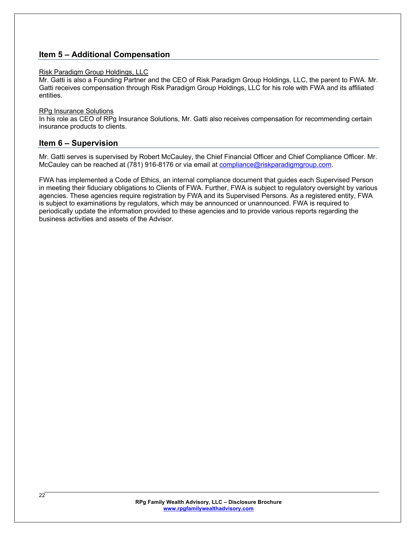### **Item 5 – Additional Compensation**

#### Risk Paradigm Group Holdings, LLC

Mr. Gatti is also a Founding Partner and the CEO of Risk Paradigm Group Holdings, LLC, the parent to FWA. Mr. Gatti receives compensation through Risk Paradigm Group Holdings, LLC for his role with FWA and its affiliated entities.

#### RPg Insurance Solutions

In his role as CEO of RPg Insurance Solutions, Mr. Gatti also receives compensation for recommending certain insurance products to clients.

#### **Item 6 – Supervision**

Mr. Gatti serves is supervised by Robert McCauley, the Chief Financial Officer and Chief Compliance Officer. Mr. McCauley can be reached at (781) 916-8176 or via email at compliance@riskparadigmgroup.com.

FWA has implemented a Code of Ethics, an internal compliance document that guides each Supervised Person in meeting their fiduciary obligations to Clients of FWA. Further, FWA is subject to regulatory oversight by various agencies. These agencies require registration by FWA and its Supervised Persons. As a registered entity, FWA is subject to examinations by regulators, which may be announced or unannounced. FWA is required to periodically update the information provided to these agencies and to provide various reports regarding the business activities and assets of the Advisor.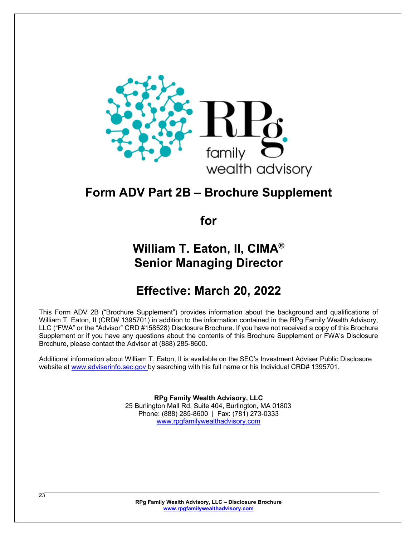

# **Form ADV Part 2B – Brochure Supplement**

**for**

# **William T. Eaton, II, CIMA® Senior Managing Director**

# **Effective: March 20, 2022**

This Form ADV 2B ("Brochure Supplement") provides information about the background and qualifications of William T. Eaton, II (CRD# 1395701) in addition to the information contained in the RPg Family Wealth Advisory, LLC ("FWA" or the "Advisor" CRD #158528) Disclosure Brochure. If you have not received a copy of this Brochure Supplement or if you have any questions about the contents of this Brochure Supplement or FWA's Disclosure Brochure, please contact the Advisor at (888) 285-8600.

Additional information about William T. Eaton, II is available on the SEC's Investment Adviser Public Disclosure website at www.adviserinfo.sec.gov by searching with his full name or his Individual CRD# 1395701.

> **RPg Family Wealth Advisory, LLC** 25 Burlington Mall Rd, Suite 404, Burlington, MA 01803 Phone: (888) 285-8600 | Fax: (781) 273-0333 www.rpgfamilywealthadvisory.com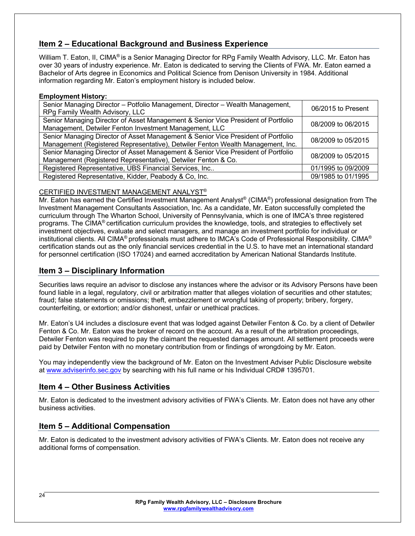# **Item 2 – Educational Background and Business Experience**

William T. Eaton, II, CIMA® is a Senior Managing Director for RPg Family Wealth Advisory, LLC. Mr. Eaton has over 30 years of industry experience. Mr. Eaton is dedicated to serving the Clients of FWA. Mr. Eaton earned a Bachelor of Arts degree in Economics and Political Science from Denison University in 1984. Additional information regarding Mr. Eaton's employment history is included below.

#### **Employment History:**

| Senior Managing Director - Potfolio Management, Director - Wealth Management,<br>RPg Family Wealth Advisory, LLC                                                     | 06/2015 to Present |
|----------------------------------------------------------------------------------------------------------------------------------------------------------------------|--------------------|
| Senior Managing Director of Asset Management & Senior Vice President of Portfolio<br>Management, Detwiler Fenton Investment Management, LLC                          | 08/2009 to 06/2015 |
| Senior Managing Director of Asset Management & Senior Vice President of Portfolio<br>Management (Registered Representative), Detwiler Fenton Wealth Management, Inc. | 08/2009 to 05/2015 |
| Senior Managing Director of Asset Management & Senior Vice President of Portfolio<br>Management (Registered Representative), Detwiler Fenton & Co.                   | 08/2009 to 05/2015 |
| Registered Representative, UBS Financial Services, Inc                                                                                                               | 01/1995 to 09/2009 |
| Registered Representative, Kidder, Peabody & Co, Inc.                                                                                                                | 09/1985 to 01/1995 |

#### CERTIFIED INVESTMENT MANAGEMENT ANALYST®

Mr. Eaton has earned the Certified Investment Management Analyst® (CIMA®) professional designation from The Investment Management Consultants Association, Inc. As a candidate, Mr. Eaton successfully completed the curriculum through The Wharton School, University of Pennsylvania, which is one of IMCA's three registered programs. The CIMA® certification curriculum provides the knowledge, tools, and strategies to effectively set investment objectives, evaluate and select managers, and manage an investment portfolio for individual or institutional clients. All CIMA® professionals must adhere to IMCA's Code of Professional Responsibility. CIMA® certification stands out as the only financial services credential in the U.S. to have met an international standard for personnel certification (ISO 17024) and earned accreditation by American National Standards Institute.

# **Item 3 – Disciplinary Information**

Securities laws require an advisor to disclose any instances where the advisor or its Advisory Persons have been found liable in a legal, regulatory, civil or arbitration matter that alleges violation of securities and other statutes; fraud; false statements or omissions; theft, embezzlement or wrongful taking of property; bribery, forgery, counterfeiting, or extortion; and/or dishonest, unfair or unethical practices.

Mr. Eaton's U4 includes a disclosure event that was lodged against Detwiler Fenton & Co. by a client of Detwiler Fenton & Co. Mr. Eaton was the broker of record on the account. As a result of the arbitration proceedings, Detwiler Fenton was required to pay the claimant the requested damages amount. All settlement proceeds were paid by Detwiler Fenton with no monetary contribution from or findings of wrongdoing by Mr. Eaton.

You may independently view the background of Mr. Eaton on the Investment Adviser Public Disclosure website at www.adviserinfo.sec.gov by searching with his full name or his Individual CRD# 1395701.

# **Item 4 – Other Business Activities**

Mr. Eaton is dedicated to the investment advisory activities of FWA's Clients. Mr. Eaton does not have any other business activities.

# **Item 5 – Additional Compensation**

Mr. Eaton is dedicated to the investment advisory activities of FWA's Clients. Mr. Eaton does not receive any additional forms of compensation.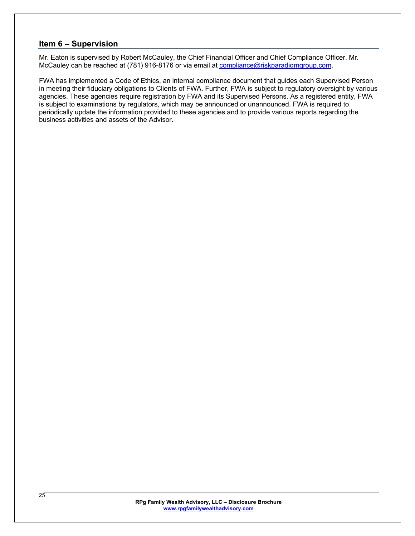# **Item 6 – Supervision**

Mr. Eaton is supervised by Robert McCauley, the Chief Financial Officer and Chief Compliance Officer. Mr. McCauley can be reached at (781) 916-8176 or via email at compliance@riskparadigmgroup.com.

FWA has implemented a Code of Ethics, an internal compliance document that guides each Supervised Person in meeting their fiduciary obligations to Clients of FWA. Further, FWA is subject to regulatory oversight by various agencies. These agencies require registration by FWA and its Supervised Persons. As a registered entity, FWA is subject to examinations by regulators, which may be announced or unannounced. FWA is required to periodically update the information provided to these agencies and to provide various reports regarding the business activities and assets of the Advisor.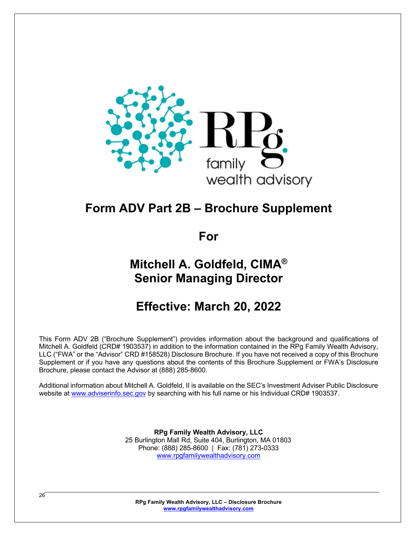

# **Form ADV Part 2B – Brochure Supplement**

**For**

# **Mitchell A. Goldfeld, CIMA® Senior Managing Director**

# **Effective: March 20, 2022**

This Form ADV 2B ("Brochure Supplement") provides information about the background and qualifications of Mitchell A. Goldfeld (CRD# 1903537) in addition to the information contained in the RPg Family Wealth Advisory, LLC ("FWA" or the "Advisor" CRD #158528) Disclosure Brochure. If you have not received a copy of this Brochure Supplement or if you have any questions about the contents of this Brochure Supplement or FWA's Disclosure Brochure, please contact the Advisor at (888) 285-8600.

Additional information about Mitchell A. Goldfeld, II is available on the SEC's Investment Adviser Public Disclosure website at www.adviserinfo.sec.gov by searching with his full name or his Individual CRD# 1903537.

> **RPg Family Wealth Advisory, LLC** 25 Burlington Mall Rd, Suite 404, Burlington, MA 01803 Phone: (888) 285-8600 | Fax: (781) 273-0333 www.rpgfamilywealthadvisory.com

**RPg Family Wealth Advisory, LLC – Disclosure Brochure www.rpgfamilywealthadvisory.com**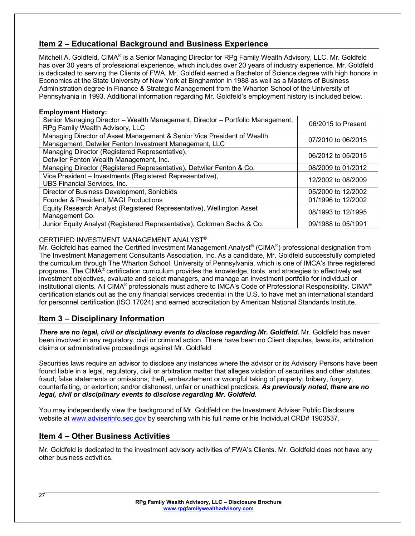# **Item 2 – Educational Background and Business Experience**

Mitchell A. Goldfeld, CIMA® is a Senior Managing Director for RPg Family Wealth Advisory, LLC. Mr. Goldfeld has over 30 years of professional experience, which includes over 20 years of industry experience. Mr. Goldfeld is dedicated to serving the Clients of FWA. Mr. Goldfeld earned a Bachelor of Science.degree with high honors in Economics at the State University of New York at Binghamton in 1988 as well as a Masters of Business Administration degree in Finance & Strategic Management from the Wharton School of the University of Pennsylvania in 1993. Additional information regarding Mr. Goldfeld's employment history is included below.

#### **Employment History:**

| Senior Managing Director - Wealth Management, Director - Portfolio Management,<br>RPg Family Wealth Advisory, LLC                 | 06/2015 to Present |
|-----------------------------------------------------------------------------------------------------------------------------------|--------------------|
| Managing Director of Asset Management & Senior Vice President of Wealth<br>Management, Detwiler Fenton Investment Management, LLC | 07/2010 to 06/2015 |
| Managing Director (Registered Representative),<br>Detwiler Fenton Wealth Management, Inc.                                         | 06/2012 to 05/2015 |
| Managing Director (Registered Representative), Detwiler Fenton & Co.                                                              | 08/2009 to 01/2012 |
| Vice President - Investments (Registered Representative),<br><b>UBS Financial Services, Inc.</b>                                  | 12/2002 to 08/2009 |
| Director of Business Development, Sonicbids                                                                                       | 05/2000 to 12/2002 |
| Founder & President, MAGI Productions                                                                                             | 01/1996 to 12/2002 |
| Equity Research Analyst (Registered Representative), Wellington Asset<br>Management Co.                                           | 08/1993 to 12/1995 |
| Junior Equity Analyst (Registered Representative), Goldman Sachs & Co.                                                            | 09/1988 to 05/1991 |

#### CERTIFIED INVESTMENT MANAGEMENT ANALYST®

Mr. Goldfeld has earned the Certified Investment Management Analyst® (CIMA®) professional designation from The Investment Management Consultants Association, Inc. As a candidate, Mr. Goldfeld successfully completed the curriculum through The Wharton School, University of Pennsylvania, which is one of IMCA's three registered programs. The CIMA® certification curriculum provides the knowledge, tools, and strategies to effectively set investment objectives, evaluate and select managers, and manage an investment portfolio for individual or institutional clients. All CIMA® professionals must adhere to IMCA's Code of Professional Responsibility. CIMA® certification stands out as the only financial services credential in the U.S. to have met an international standard for personnel certification (ISO 17024) and earned accreditation by American National Standards Institute.

# **Item 3 – Disciplinary Information**

*There are no legal, civil or disciplinary events to disclose regarding Mr. Goldfeld.* Mr. Goldfeld has never been involved in any regulatory, civil or criminal action. There have been no Client disputes, lawsuits, arbitration claims or administrative proceedings against Mr. Goldfeld

Securities laws require an advisor to disclose any instances where the advisor or its Advisory Persons have been found liable in a legal, regulatory, civil or arbitration matter that alleges violation of securities and other statutes; fraud; false statements or omissions; theft, embezzlement or wrongful taking of property; bribery, forgery, counterfeiting, or extortion; and/or dishonest, unfair or unethical practices. *As previously noted, there are no legal, civil or disciplinary events to disclose regarding Mr. Goldfeld.*

You may independently view the background of Mr. Goldfeld on the Investment Adviser Public Disclosure website at www.adviserinfo.sec.gov by searching with his full name or his Individual CRD# 1903537.

### **Item 4 – Other Business Activities**

Mr. Goldfeld is dedicated to the investment advisory activities of FWA's Clients. Mr. Goldfeld does not have any other business activities.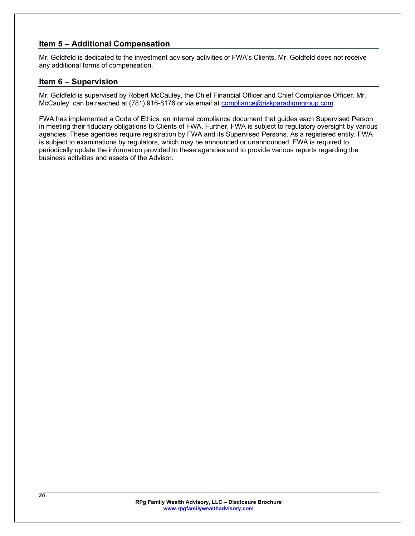# **Item 5 – Additional Compensation**

Mr. Goldfeld is dedicated to the investment advisory activities of FWA's Clients. Mr. Goldfeld does not receive any additional forms of compensation.

### **Item 6 – Supervision**

Mr. Goldfeld is supervised by Robert McCauley, the Chief Financial Officer and Chief Compliance Officer. Mr. McCauley can be reached at (781) 916-8176 or via email at compliance@riskparadigmgroup.com..

FWA has implemented a Code of Ethics, an internal compliance document that guides each Supervised Person in meeting their fiduciary obligations to Clients of FWA. Further, FWA is subject to regulatory oversight by various agencies. These agencies require registration by FWA and its Supervised Persons. As a registered entity, FWA is subject to examinations by regulators, which may be announced or unannounced. FWA is required to periodically update the information provided to these agencies and to provide various reports regarding the business activities and assets of the Advisor.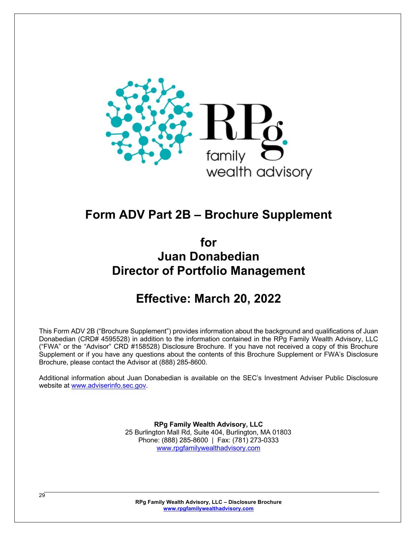

# **Form ADV Part 2B – Brochure Supplement**

**for Juan Donabedian Director of Portfolio Management**

# **Effective: March 20, 2022**

This Form ADV 2B ("Brochure Supplement") provides information about the background and qualifications of Juan Donabedian (CRD# 4595528) in addition to the information contained in the RPg Family Wealth Advisory, LLC ("FWA" or the "Advisor" CRD #158528) Disclosure Brochure. If you have not received a copy of this Brochure Supplement or if you have any questions about the contents of this Brochure Supplement or FWA's Disclosure Brochure, please contact the Advisor at (888) 285-8600.

Additional information about Juan Donabedian is available on the SEC's Investment Adviser Public Disclosure website at www.adviserinfo.sec.gov.

> **RPg Family Wealth Advisory, LLC** 25 Burlington Mall Rd, Suite 404, Burlington, MA 01803 Phone: (888) 285-8600 | Fax: (781) 273-0333 www.rpgfamilywealthadvisory.com

**RPg Family Wealth Advisory, LLC – Disclosure Brochure www.rpgfamilywealthadvisory.com**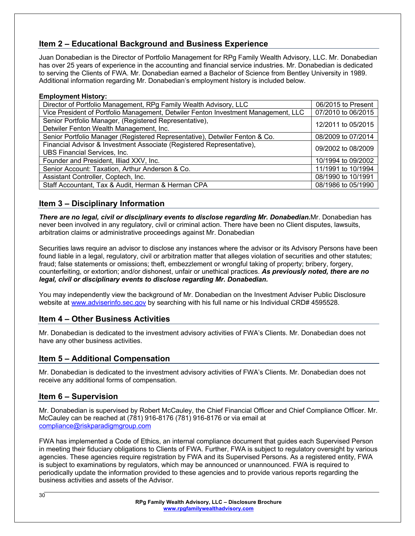# **Item 2 – Educational Background and Business Experience**

Juan Donabedian is the Director of Portfolio Management for RPg Family Wealth Advisory, LLC. Mr. Donabedian has over 25 years of experience in the accounting and financial service industries. Mr. Donabedian is dedicated to serving the Clients of FWA. Mr. Donabedian earned a Bachelor of Science from Bentley University in 1989. Additional information regarding Mr. Donabedian's employment history is included below.

#### **Employment History:**

| Director of Portfolio Management, RPg Family Wealth Advisory, LLC                  | 06/2015 to Present |
|------------------------------------------------------------------------------------|--------------------|
| Vice President of Portfolio Management, Detwiler Fenton Investment Management, LLC | 07/2010 to 06/2015 |
| Senior Portfolio Manager, (Registered Representative),                             | 12/2011 to 05/2015 |
| Detwiler Fenton Wealth Management, Inc.                                            |                    |
| Senior Portfolio Manager (Registered Representative), Detwiler Fenton & Co.        | 08/2009 to 07/2014 |
| Financial Advisor & Investment Associate (Registered Representative),              | 09/2002 to 08/2009 |
| UBS Financial Services, Inc.                                                       |                    |
| Founder and President, Illiad XXV, Inc.                                            | 10/1994 to 09/2002 |
| Senior Account: Taxation, Arthur Anderson & Co.                                    | 11/1991 to 10/1994 |
| Assistant Controller, Coptech, Inc.                                                | 08/1990 to 10/1991 |
| Staff Accountant, Tax & Audit, Herman & Herman CPA                                 | 08/1986 to 05/1990 |

# **Item 3 – Disciplinary Information**

*There are no legal, civil or disciplinary events to disclose regarding Mr. Donabedian.*Mr. Donabedian has never been involved in any regulatory, civil or criminal action. There have been no Client disputes, lawsuits, arbitration claims or administrative proceedings against Mr. Donabedian

Securities laws require an advisor to disclose any instances where the advisor or its Advisory Persons have been found liable in a legal, regulatory, civil or arbitration matter that alleges violation of securities and other statutes; fraud; false statements or omissions; theft, embezzlement or wrongful taking of property; bribery, forgery, counterfeiting, or extortion; and/or dishonest, unfair or unethical practices. *As previously noted, there are no legal, civil or disciplinary events to disclose regarding Mr. Donabedian.*

You may independently view the background of Mr. Donabedian on the Investment Adviser Public Disclosure website at www.adviserinfo.sec.gov by searching with his full name or his Individual CRD# 4595528.

# **Item 4 – Other Business Activities**

Mr. Donabedian is dedicated to the investment advisory activities of FWA's Clients. Mr. Donabedian does not have any other business activities.

# **Item 5 – Additional Compensation**

Mr. Donabedian is dedicated to the investment advisory activities of FWA's Clients. Mr. Donabedian does not receive any additional forms of compensation.

# **Item 6 – Supervision**

Mr. Donabedian is supervised by Robert McCauley, the Chief Financial Officer and Chief Compliance Officer. Mr. McCauley can be reached at (781) 916-8176 (781) 916-8176 or via email at compliance@riskparadigmgroup.com

FWA has implemented a Code of Ethics, an internal compliance document that guides each Supervised Person in meeting their fiduciary obligations to Clients of FWA. Further, FWA is subject to regulatory oversight by various agencies. These agencies require registration by FWA and its Supervised Persons. As a registered entity, FWA is subject to examinations by regulators, which may be announced or unannounced. FWA is required to periodically update the information provided to these agencies and to provide various reports regarding the business activities and assets of the Advisor.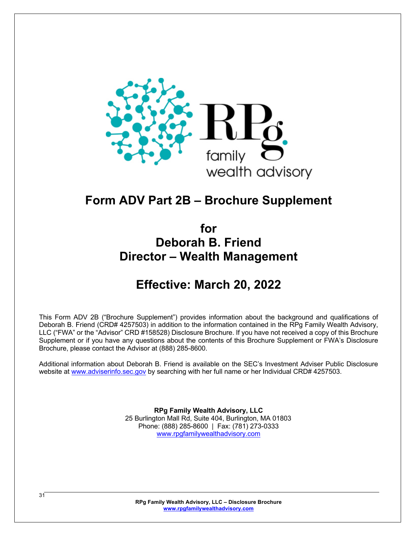

# **Form ADV Part 2B – Brochure Supplement**

# **for Deborah B. Friend Director – Wealth Management**

# **Effective: March 20, 2022**

This Form ADV 2B ("Brochure Supplement") provides information about the background and qualifications of Deborah B. Friend (CRD# 4257503) in addition to the information contained in the RPg Family Wealth Advisory, LLC ("FWA" or the "Advisor" CRD #158528) Disclosure Brochure. If you have not received a copy of this Brochure Supplement or if you have any questions about the contents of this Brochure Supplement or FWA's Disclosure Brochure, please contact the Advisor at (888) 285-8600.

Additional information about Deborah B. Friend is available on the SEC's Investment Adviser Public Disclosure website at www.adviserinfo.sec.gov by searching with her full name or her Individual CRD# 4257503.

> **RPg Family Wealth Advisory, LLC** 25 Burlington Mall Rd, Suite 404, Burlington, MA 01803 Phone: (888) 285-8600 | Fax: (781) 273-0333 www.rpgfamilywealthadvisory.com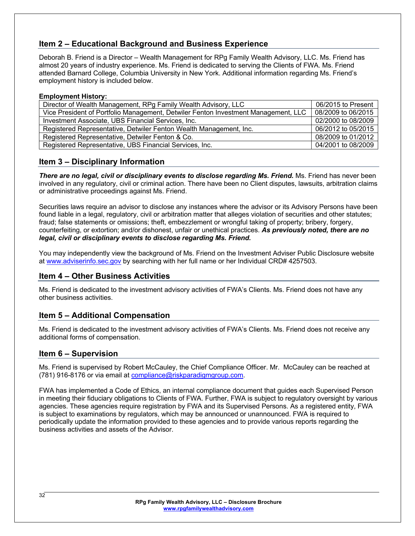# **Item 2 – Educational Background and Business Experience**

Deborah B. Friend is a Director – Wealth Management for RPg Family Wealth Advisory, LLC. Ms. Friend has almost 20 years of industry experience. Ms. Friend is dedicated to serving the Clients of FWA. Ms. Friend attended Barnard College, Columbia University in New York. Additional information regarding Ms. Friend's employment history is included below.

#### **Employment History:**

| Director of Wealth Management, RPg Family Wealth Advisory, LLC                     | 06/2015 to Present |
|------------------------------------------------------------------------------------|--------------------|
| Vice President of Portfolio Management, Detwiler Fenton Investment Management, LLC | 08/2009 to 06/2015 |
| Investment Associate, UBS Financial Services, Inc.                                 | 02/2000 to 08/2009 |
| Registered Representative, Detwiler Fenton Wealth Management, Inc.                 | 06/2012 to 05/2015 |
| Registered Representative, Detwiler Fenton & Co.                                   | 08/2009 to 01/2012 |
| Registered Representative, UBS Financial Services, Inc.                            | 04/2001 to 08/2009 |

# **Item 3 – Disciplinary Information**

**There are no legal, civil or disciplinary events to disclose regarding Ms. Friend.** Ms. Friend has never been involved in any regulatory, civil or criminal action. There have been no Client disputes, lawsuits, arbitration claims or administrative proceedings against Ms. Friend.

Securities laws require an advisor to disclose any instances where the advisor or its Advisory Persons have been found liable in a legal, regulatory, civil or arbitration matter that alleges violation of securities and other statutes; fraud; false statements or omissions; theft, embezzlement or wrongful taking of property; bribery, forgery, counterfeiting, or extortion; and/or dishonest, unfair or unethical practices. *As previously noted, there are no legal, civil or disciplinary events to disclose regarding Ms. Friend.*

You may independently view the background of Ms. Friend on the Investment Adviser Public Disclosure website at www.adviserinfo.sec.gov by searching with her full name or her Individual CRD# 4257503.

# **Item 4 – Other Business Activities**

Ms. Friend is dedicated to the investment advisory activities of FWA's Clients. Ms. Friend does not have any other business activities.

# **Item 5 – Additional Compensation**

Ms. Friend is dedicated to the investment advisory activities of FWA's Clients. Ms. Friend does not receive any additional forms of compensation.

# **Item 6 – Supervision**

Ms. Friend is supervised by Robert McCauley, the Chief Compliance Officer. Mr. McCauley can be reached at (781) 916-8176 or via email at compliance@riskparadigmgroup.com.

FWA has implemented a Code of Ethics, an internal compliance document that guides each Supervised Person in meeting their fiduciary obligations to Clients of FWA. Further, FWA is subject to regulatory oversight by various agencies. These agencies require registration by FWA and its Supervised Persons. As a registered entity, FWA is subject to examinations by regulators, which may be announced or unannounced. FWA is required to periodically update the information provided to these agencies and to provide various reports regarding the business activities and assets of the Advisor.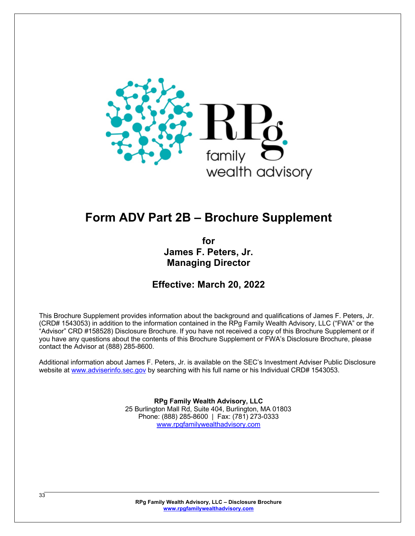

# **Form ADV Part 2B – Brochure Supplement**

**for James F. Peters, Jr. Managing Director**

**Effective: March 20, 2022**

This Brochure Supplement provides information about the background and qualifications of James F. Peters, Jr. (CRD# 1543053) in addition to the information contained in the RPg Family Wealth Advisory, LLC ("FWA" or the "Advisor" CRD #158528) Disclosure Brochure. If you have not received a copy of this Brochure Supplement or if you have any questions about the contents of this Brochure Supplement or FWA's Disclosure Brochure, please contact the Advisor at (888) 285-8600.

Additional information about James F. Peters, Jr. is available on the SEC's Investment Adviser Public Disclosure website at www.adviserinfo.sec.gov by searching with his full name or his Individual CRD# 1543053.

> **RPg Family Wealth Advisory, LLC** 25 Burlington Mall Rd, Suite 404, Burlington, MA 01803 Phone: (888) 285-8600 | Fax: (781) 273-0333 www.rpgfamilywealthadvisory.com

**RPg Family Wealth Advisory, LLC – Disclosure Brochure www.rpgfamilywealthadvisory.com**